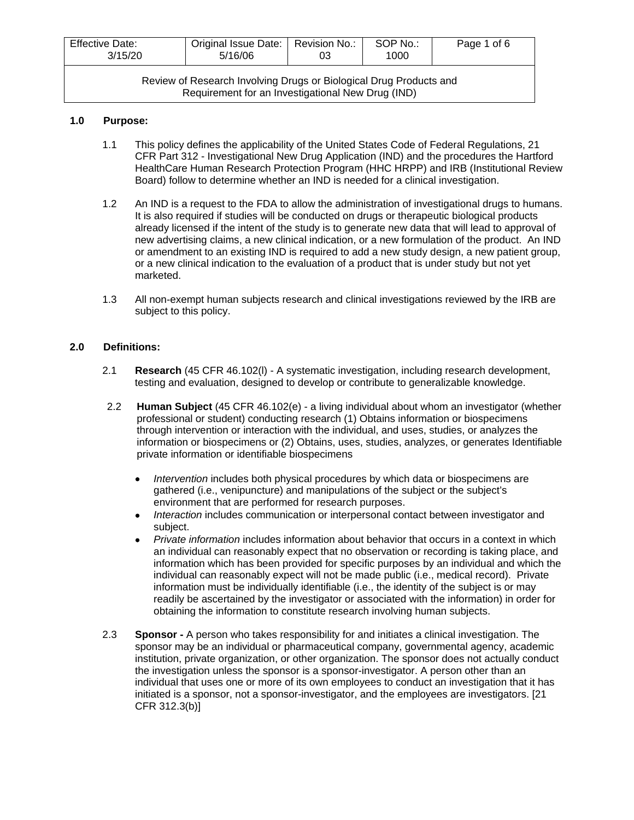| <b>Effective Date:</b><br>3/15/20                                                                                       | Original Issue Date:   Revision No.:  <br>5/16/06 | 03 | SOP No.:<br>1000 | Page 1 of 6 |
|-------------------------------------------------------------------------------------------------------------------------|---------------------------------------------------|----|------------------|-------------|
| Review of Research Involving Drugs or Biological Drug Products and<br>Requirement for an Investigational New Drug (IND) |                                                   |    |                  |             |

## **1.0 Purpose:**

- 1.1 This policy defines the applicability of the United States Code of Federal Regulations, 21 CFR Part 312 - Investigational New Drug Application (IND) and the procedures the Hartford HealthCare Human Research Protection Program (HHC HRPP) and IRB (Institutional Review Board) follow to determine whether an IND is needed for a clinical investigation.
- 1.2 An IND is a request to the FDA to allow the administration of investigational drugs to humans. It is also required if studies will be conducted on drugs or therapeutic biological products already licensed if the intent of the study is to generate new data that will lead to approval of new advertising claims, a new clinical indication, or a new formulation of the product. An IND or amendment to an existing IND is required to add a new study design, a new patient group, or a new clinical indication to the evaluation of a product that is under study but not yet marketed.
- 1.3 All non-exempt human subjects research and clinical investigations reviewed by the IRB are subject to this policy.

## **2.0 Definitions:**

- 2.1 **Research** (45 CFR 46.102(l) A systematic investigation, including research development, testing and evaluation, designed to develop or contribute to generalizable knowledge.
- 2.2 **Human Subject** (45 CFR 46.102(e) a living individual about whom an investigator (whether professional or student) conducting research (1) Obtains information or biospecimens through intervention or interaction with the individual, and uses, studies, or analyzes the information or biospecimens or (2) Obtains, uses, studies, analyzes, or generates Identifiable private information or identifiable biospecimens
	- *Intervention* includes both physical procedures by which data or biospecimens are gathered (i.e., venipuncture) and manipulations of the subject or the subject's environment that are performed for research purposes.
	- *Interaction* includes communication or interpersonal contact between investigator and subject.
	- *Private information* includes information about behavior that occurs in a context in which an individual can reasonably expect that no observation or recording is taking place, and information which has been provided for specific purposes by an individual and which the individual can reasonably expect will not be made public (i.e., medical record). Private information must be individually identifiable (i.e., the identity of the subject is or may readily be ascertained by the investigator or associated with the information) in order for obtaining the information to constitute research involving human subjects.
- 2.3 **Sponsor -** A person who takes responsibility for and initiates a clinical investigation. The sponsor may be an individual or pharmaceutical company, governmental agency, academic institution, private organization, or other organization. The sponsor does not actually conduct the investigation unless the sponsor is a sponsor-investigator. A person other than an individual that uses one or more of its own employees to conduct an investigation that it has initiated is a sponsor, not a sponsor-investigator, and the employees are investigators. [21 CFR 312.3(b)]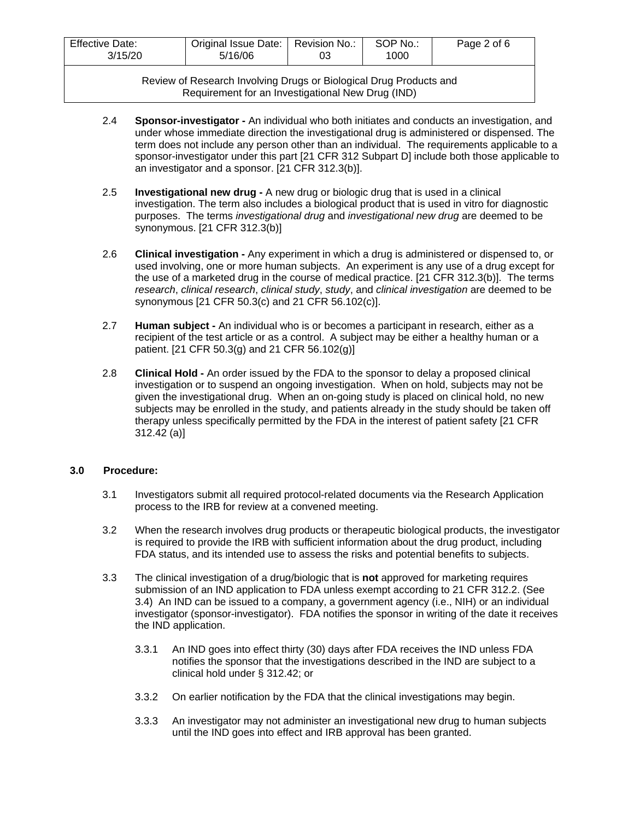| <b>Effective Date:</b><br>3/15/20 | Original Issue Date:   Revision No.:<br>5/16/06 | 03 | SOP No.:<br>1000 | Page 2 of 6 |
|-----------------------------------|-------------------------------------------------|----|------------------|-------------|
| - -                               |                                                 |    |                  |             |

Review of Research Involving Drugs or Biological Drug Products and Requirement for an Investigational New Drug (IND)

- 2.4 **Sponsor-investigator -** An individual who both initiates and conducts an investigation, and under whose immediate direction the investigational drug is administered or dispensed. The term does not include any person other than an individual. The requirements applicable to a sponsor-investigator under this part [21 CFR 312 Subpart D] include both those applicable to an investigator and a sponsor. [21 CFR 312.3(b)].
- 2.5 **Investigational new drug -** A new drug or biologic drug that is used in a clinical investigation. The term also includes a biological product that is used in vitro for diagnostic purposes. The terms *investigational drug* and *investigational new drug* are deemed to be synonymous. [21 CFR 312.3(b)]
- 2.6 **Clinical investigation -** Any experiment in which a drug is administered or dispensed to, or used involving, one or more human subjects. An experiment is any use of a drug except for the use of a marketed drug in the course of medical practice. [21 CFR 312.3(b)]. The terms *research*, *clinical research*, *clinical study*, *study*, and *clinical investigation* are deemed to be synonymous [21 CFR 50.3(c) and 21 CFR 56.102(c)].
- 2.7 **Human subject -** An individual who is or becomes a participant in research, either as a recipient of the test article or as a control. A subject may be either a healthy human or a patient. [21 CFR 50.3(g) and 21 CFR 56.102(g)]
- 2.8 **Clinical Hold -** An order issued by the FDA to the sponsor to delay a proposed clinical investigation or to suspend an ongoing investigation. When on hold, subjects may not be given the investigational drug. When an on-going study is placed on clinical hold, no new subjects may be enrolled in the study, and patients already in the study should be taken off therapy unless specifically permitted by the FDA in the interest of patient safety [21 CFR 312.42 (a)]

#### **3.0 Procedure:**

- 3.1 Investigators submit all required protocol-related documents via the Research Application process to the IRB for review at a convened meeting.
- 3.2 When the research involves drug products or therapeutic biological products, the investigator is required to provide the IRB with sufficient information about the drug product, including FDA status, and its intended use to assess the risks and potential benefits to subjects.
- 3.3 The clinical investigation of a drug/biologic that is **not** approved for marketing requires submission of an IND application to FDA unless exempt according to 21 CFR 312.2. (See 3.4) An IND can be issued to a company, a government agency (i.e., NIH) or an individual investigator (sponsor-investigator). FDA notifies the sponsor in writing of the date it receives the IND application.
	- 3.3.1 An IND goes into effect thirty (30) days after FDA receives the IND unless FDA notifies the sponsor that the investigations described in the IND are subject to a clinical hold under § 312.42; or
	- 3.3.2 On earlier notification by the FDA that the clinical investigations may begin.
	- 3.3.3 An investigator may not administer an investigational new drug to human subjects until the IND goes into effect and IRB approval has been granted.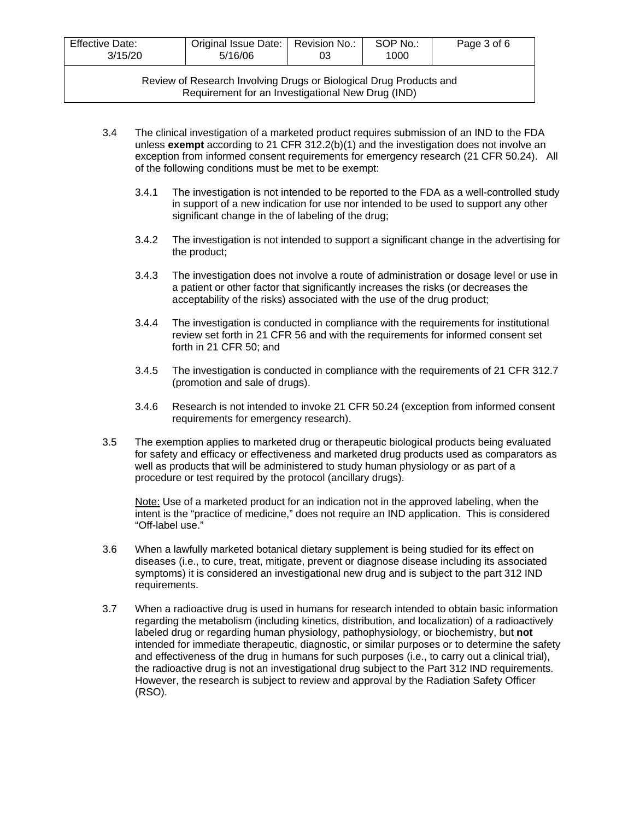| <b>Effective Date:</b><br>3/15/20                                                                                       | Original Issue Date:   Revision No.:  <br>5/16/06 | 03 | SOP No.:<br>1000 | Page 3 of 6 |
|-------------------------------------------------------------------------------------------------------------------------|---------------------------------------------------|----|------------------|-------------|
| Review of Research Involving Drugs or Biological Drug Products and<br>Requirement for an Investigational New Drug (IND) |                                                   |    |                  |             |

- 3.4 The clinical investigation of a marketed product requires submission of an IND to the FDA unless **exempt** according to 21 CFR 312.2(b)(1) and the investigation does not involve an exception from informed consent requirements for emergency research (21 CFR 50.24). All of the following conditions must be met to be exempt:
	- 3.4.1 The investigation is not intended to be reported to the FDA as a well-controlled study in support of a new indication for use nor intended to be used to support any other significant change in the of labeling of the drug;
	- 3.4.2 The investigation is not intended to support a significant change in the advertising for the product;
	- 3.4.3 The investigation does not involve a route of administration or dosage level or use in a patient or other factor that significantly increases the risks (or decreases the acceptability of the risks) associated with the use of the drug product;
	- 3.4.4 The investigation is conducted in compliance with the requirements for institutional review set forth in 21 CFR 56 and with the requirements for informed consent set forth in 21 CFR 50; and
	- 3.4.5 The investigation is conducted in compliance with the requirements of 21 CFR 312.7 (promotion and sale of drugs).
	- 3.4.6 Research is not intended to invoke 21 CFR 50.24 (exception from informed consent requirements for emergency research).
- 3.5 The exemption applies to marketed drug or therapeutic biological products being evaluated for safety and efficacy or effectiveness and marketed drug products used as comparators as well as products that will be administered to study human physiology or as part of a procedure or test required by the protocol (ancillary drugs).

Note: Use of a marketed product for an indication not in the approved labeling, when the intent is the "practice of medicine," does not require an IND application. This is considered "Off-label use."

- 3.6 When a lawfully marketed botanical dietary supplement is being studied for its effect on diseases (i.e., to cure, treat, mitigate, prevent or diagnose disease including its associated symptoms) it is considered an investigational new drug and is subject to the part 312 IND requirements.
- 3.7 When a radioactive drug is used in humans for research intended to obtain basic information regarding the metabolism (including kinetics, distribution, and localization) of a radioactively labeled drug or regarding human physiology, pathophysiology, or biochemistry, but **not** intended for immediate therapeutic, diagnostic, or similar purposes or to determine the safety and effectiveness of the drug in humans for such purposes (i.e., to carry out a clinical trial), the radioactive drug is not an investigational drug subject to the Part 312 IND requirements. However, the research is subject to review and approval by the Radiation Safety Officer (RSO).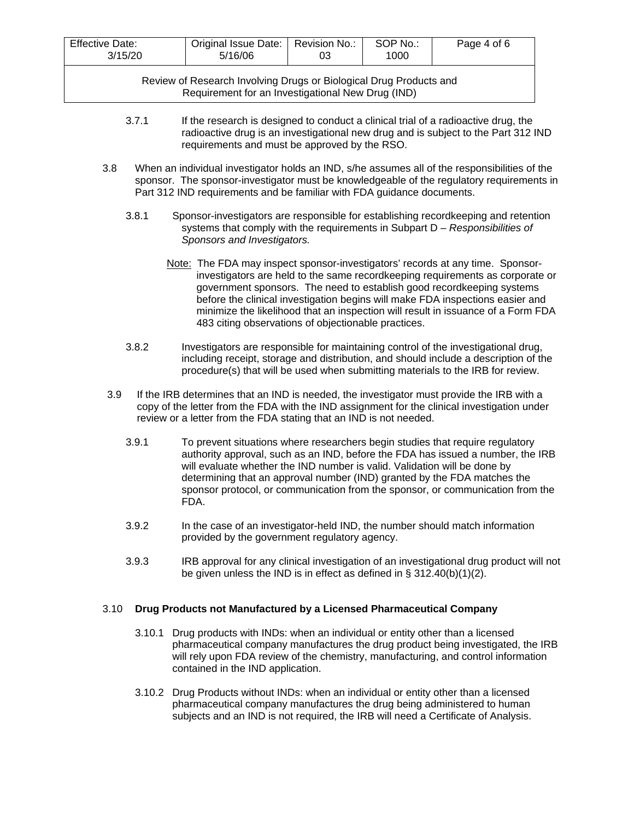| <b>Effective Date:</b><br>3/15/20                                  | Original Issue Date:   Revision No.:<br>5/16/06 | 03 | SOP No.:<br>1000 | Page 4 of 6 |
|--------------------------------------------------------------------|-------------------------------------------------|----|------------------|-------------|
| Review of Research Involving Drugs or Biological Drug Products and |                                                 |    |                  |             |

Requirement for an Investigational New Drug (IND)

- 3.7.1 If the research is designed to conduct a clinical trial of a radioactive drug, the radioactive drug is an investigational new drug and is subject to the Part 312 IND requirements and must be approved by the RSO.
- 3.8 When an individual investigator holds an IND, s/he assumes all of the responsibilities of the sponsor. The sponsor-investigator must be knowledgeable of the regulatory requirements in Part 312 IND requirements and be familiar with FDA guidance documents.
	- 3.8.1 Sponsor-investigators are responsible for establishing recordkeeping and retention systems that comply with the requirements in Subpart D – *Responsibilities of Sponsors and Investigators.*
		- Note: The FDA may inspect sponsor-investigators' records at any time. Sponsorinvestigators are held to the same recordkeeping requirements as corporate or government sponsors. The need to establish good recordkeeping systems before the clinical investigation begins will make FDA inspections easier and minimize the likelihood that an inspection will result in issuance of a Form FDA 483 citing observations of objectionable practices.
	- 3.8.2 Investigators are responsible for maintaining control of the investigational drug, including receipt, storage and distribution, and should include a description of the procedure(s) that will be used when submitting materials to the IRB for review.
- 3.9 If the IRB determines that an IND is needed, the investigator must provide the IRB with a copy of the letter from the FDA with the IND assignment for the clinical investigation under review or a letter from the FDA stating that an IND is not needed.
	- 3.9.1 To prevent situations where researchers begin studies that require regulatory authority approval, such as an IND, before the FDA has issued a number, the IRB will evaluate whether the IND number is valid. Validation will be done by determining that an approval number (IND) granted by the FDA matches the sponsor protocol, or communication from the sponsor, or communication from the FDA.
	- 3.9.2 In the case of an investigator-held IND, the number should match information provided by the government regulatory agency.
	- 3.9.3 IRB approval for any clinical investigation of an investigational drug product will not be given unless the IND is in effect as defined in § 312.40(b)(1)(2).

#### 3.10 **Drug Products not Manufactured by a Licensed Pharmaceutical Company**

- 3.10.1 Drug products with INDs: when an individual or entity other than a licensed pharmaceutical company manufactures the drug product being investigated, the IRB will rely upon FDA review of the chemistry, manufacturing, and control information contained in the IND application.
- 3.10.2 Drug Products without INDs: when an individual or entity other than a licensed pharmaceutical company manufactures the drug being administered to human subjects and an IND is not required, the IRB will need a Certificate of Analysis.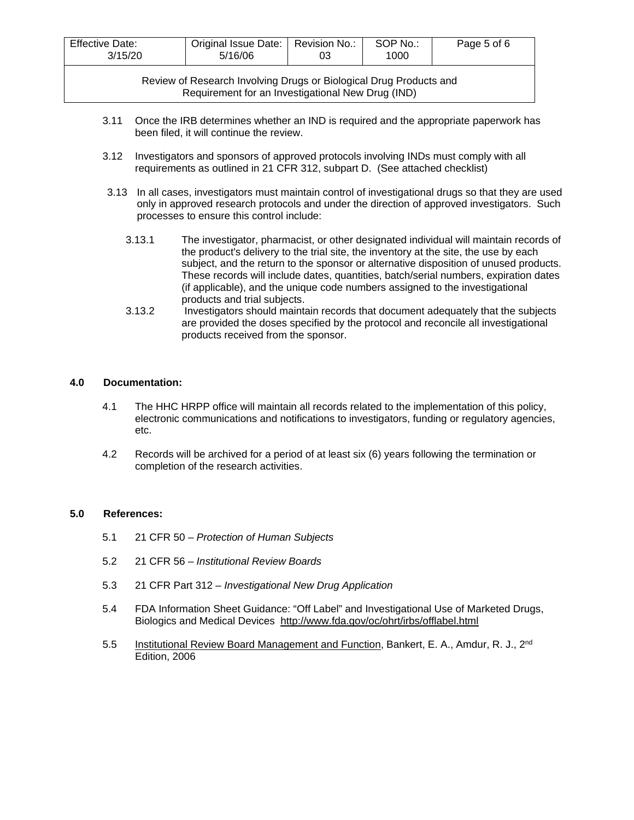| <b>Effective Date:</b><br>3/15/20                                                                                       | Original Issue Date:   Revision No.:  <br>5/16/06 | 03 | SOP No.:<br>1000 | Page 5 of 6 |
|-------------------------------------------------------------------------------------------------------------------------|---------------------------------------------------|----|------------------|-------------|
| Review of Research Involving Drugs or Biological Drug Products and<br>Requirement for an Investigational New Drug (IND) |                                                   |    |                  |             |

- 3.11 Once the IRB determines whether an IND is required and the appropriate paperwork has been filed, it will continue the review.
- 3.12 Investigators and sponsors of approved protocols involving INDs must comply with all requirements as outlined in 21 CFR 312, subpart D. (See attached checklist)
- 3.13 In all cases, investigators must maintain control of investigational drugs so that they are used only in approved research protocols and under the direction of approved investigators. Such processes to ensure this control include:
	- 3.13.1 The investigator, pharmacist, or other designated individual will maintain records of the product's delivery to the trial site, the inventory at the site, the use by each subject, and the return to the sponsor or alternative disposition of unused products. These records will include dates, quantities, batch/serial numbers, expiration dates (if applicable), and the unique code numbers assigned to the investigational products and trial subjects.
	- 3.13.2 Investigators should maintain records that document adequately that the subjects are provided the doses specified by the protocol and reconcile all investigational products received from the sponsor.

## **4.0 Documentation:**

- 4.1 The HHC HRPP office will maintain all records related to the implementation of this policy, electronic communications and notifications to investigators, funding or regulatory agencies, etc.
- 4.2 Records will be archived for a period of at least six (6) years following the termination or completion of the research activities.

#### **5.0 References:**

- 5.1 21 CFR 50 *Protection of Human Subjects*
- 5.2 21 CFR 56 *Institutional Review Boards*
- 5.3 21 CFR Part 312 *Investigational New Drug Application*
- 5.4 FDA Information Sheet Guidance: "Off Label" and Investigational Use of Marketed Drugs, Biologics and Medical Devices <http://www.fda.gov/oc/ohrt/irbs/offlabel.html>
- 5.5 Institutional Review Board Management and Function, Bankert, E. A., Amdur, R. J., 2<sup>nd</sup> Edition, 2006